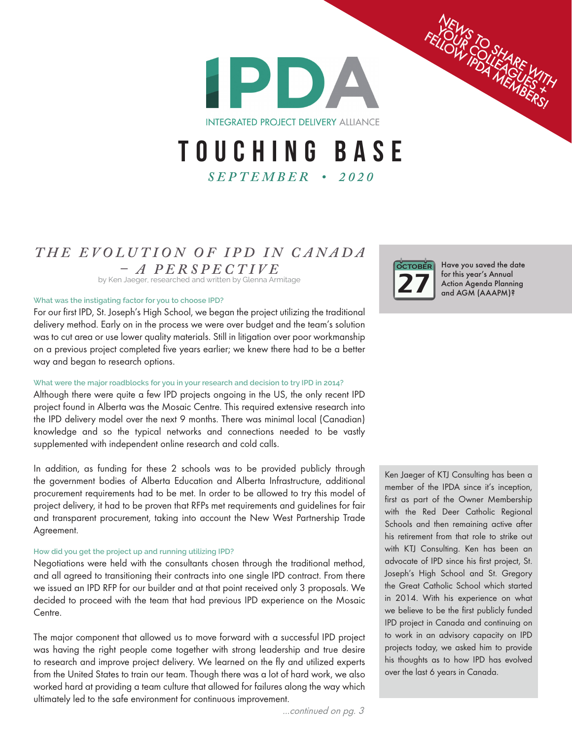

**INTEGRATED PROJECT DELIVERY ALLIANCE** 

## touching base *SEPTEMBER • 2020*

## THE EVOLUTION OF IPD IN CANADA *– A P E R S P E C T I V E*  by Ken Jaeger, researched and written by Glenna Armitage

## **What was the instigating factor for you to choose IPD?**

For our first IPD, St. Joseph's High School, we began the project utilizing the traditional delivery method. Early on in the process we were over budget and the team's solution was to cut area or use lower quality materials. Still in litigation over poor workmanship on a previous project completed five years earlier; we knew there had to be a better way and began to research options.

## **What were the major roadblocks for you in your research and decision to try IPD in 2014?**

Although there were quite a few IPD projects ongoing in the US, the only recent IPD project found in Alberta was the Mosaic Centre. This required extensive research into the IPD delivery model over the next 9 months. There was minimal local (Canadian) knowledge and so the typical networks and connections needed to be vastly supplemented with independent online research and cold calls.

In addition, as funding for these 2 schools was to be provided publicly through the government bodies of Alberta Education and Alberta Infrastructure, additional procurement requirements had to be met. In order to be allowed to try this model of project delivery, it had to be proven that RFPs met requirements and guidelines for fair and transparent procurement, taking into account the New West Partnership Trade Agreement.

## **How did you get the project up and running utilizing IPD?**

Negotiations were held with the consultants chosen through the traditional method, and all agreed to transitioning their contracts into one single IPD contract. From there we issued an IPD RFP for our builder and at that point received only 3 proposals. We decided to proceed with the team that had previous IPD experience on the Mosaic Centre.

The major component that allowed us to move forward with a successful IPD project was having the right people come together with strong leadership and true desire to research and improve project delivery. We learned on the fly and utilized experts from the United States to train our team. Though there was a lot of hard work, we also worked hard at providing a team culture that allowed for failures along the way which ultimately led to the safe environment for continuous improvement.

...continued on pg. 3



Have you saved the date for this year's Annual Action Agenda Planning and AGM (AAAPM)?

NEWS TO SHARE WITH YOUR TO SHARE WIT FELLOW POSHARE WITH

Ken Jaeger of KTJ Consulting has been a member of the IPDA since it's inception, first as part of the Owner Membership with the Red Deer Catholic Regional Schools and then remaining active after his retirement from that role to strike out with KTJ Consulting. Ken has been an advocate of IPD since his first project, St. Joseph's High School and St. Gregory the Great Catholic School which started in 2014. With his experience on what we believe to be the first publicly funded IPD project in Canada and continuing on to work in an advisory capacity on IPD projects today, we asked him to provide his thoughts as to how IPD has evolved over the last 6 years in Canada.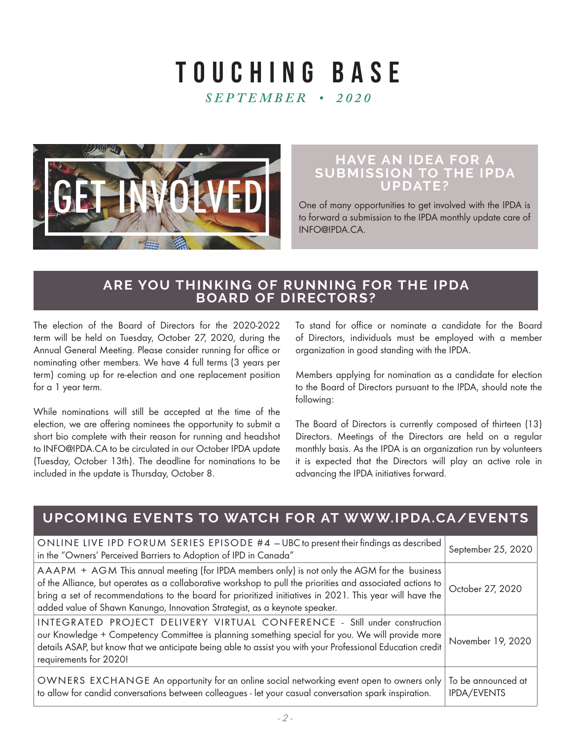# touching base

## *SEPTEMBER • 2020*



## **HAVE AN IDEA FOR A SUBMISSION TO THE IPDA UPDATE?**

One of many opportunities to get involved with the IPDA is to forward a submission to the IPDA monthly update care of INFO@IPDA.CA.

## **ARE YOU THINKING OF RUNNING FOR THE IPDA BOARD OF DIRECTORS?**

The election of the Board of Directors for the 2020-2022 term will be held on Tuesday, October 27, 2020, during the Annual General Meeting. Please consider running for office or nominating other members. We have 4 full terms (3 years per term) coming up for re-election and one replacement position for a 1 year term.

While nominations will still be accepted at the time of the election, we are offering nominees the opportunity to submit a short bio complete with their reason for running and headshot to INFO@IPDA.CA to be circulated in our October IPDA update (Tuesday, October 13th). The deadline for nominations to be included in the update is Thursday, October 8.

To stand for office or nominate a candidate for the Board of Directors, individuals must be employed with a member organization in good standing with the IPDA.

Members applying for nomination as a candidate for election to the Board of Directors pursuant to the IPDA, should note the following:

The Board of Directors is currently composed of thirteen (13) Directors. Meetings of the Directors are held on a regular monthly basis. As the IPDA is an organization run by volunteers it is expected that the Directors will play an active role in advancing the IPDA initiatives forward.

## **UPCOMING EVENTS TO WATCH FOR AT WWW.IPDA.CA/EVENTS**

| ONLINE LIVE IPD FORUM SERIES EPISODE #4 - UBC to present their findings as described<br>in the "Owners' Perceived Barriers to Adoption of IPD in Canada"                                                                                                                                                                                                                                             | September 25, 2020                |
|------------------------------------------------------------------------------------------------------------------------------------------------------------------------------------------------------------------------------------------------------------------------------------------------------------------------------------------------------------------------------------------------------|-----------------------------------|
| AAAPM + AGM This annual meeting (for IPDA members only) is not only the AGM for the business<br>of the Alliance, but operates as a collaborative workshop to pull the priorities and associated actions to<br>bring a set of recommendations to the board for prioritized initiatives in 2021. This year will have the<br>added value of Shawn Kanungo, Innovation Strategist, as a keynote speaker. | October 27, 2020                  |
| INTEGRATED PROJECT DELIVERY VIRTUAL CONFERENCE - Still under construction<br>our Knowledge + Competency Committee is planning something special for you. We will provide more<br>details ASAP, but know that we anticipate being able to assist you with your Professional Education credit<br>requirements for 2020!                                                                                | November 19, 2020                 |
| OWNERS EXCHANGE An opportunity for an online social networking event open to owners only<br>to allow for candid conversations between colleagues - let your casual conversation spark inspiration.                                                                                                                                                                                                   | To be announced at<br>IPDA/EVENTS |